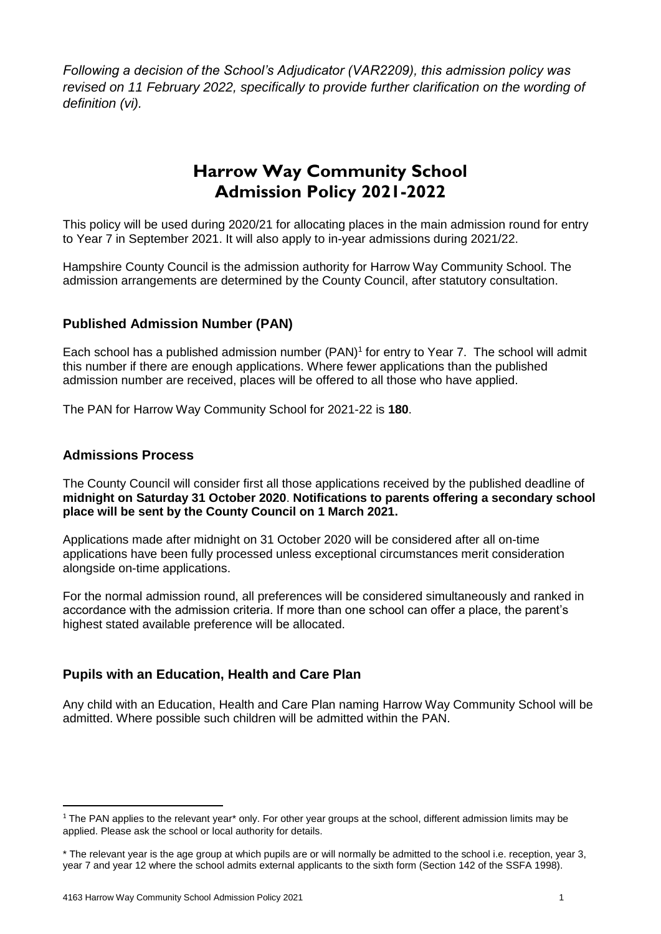*Following a decision of the School's Adjudicator (VAR2209), this admission policy was revised on 11 February 2022, specifically to provide further clarification on the wording of definition (vi).*

# **Harrow Way Community School Admission Policy 2021-2022**

This policy will be used during 2020/21 for allocating places in the main admission round for entry to Year 7 in September 2021. It will also apply to in-year admissions during 2021/22.

Hampshire County Council is the admission authority for Harrow Way Community School. The admission arrangements are determined by the County Council, after statutory consultation.

# **Published Admission Number (PAN)**

Each school has a published admission number (PAN)<sup>1</sup> for entry to Year 7. The school will admit this number if there are enough applications. Where fewer applications than the published admission number are received, places will be offered to all those who have applied.

The PAN for Harrow Way Community School for 2021-22 is **180**.

#### **Admissions Process**

**.** 

The County Council will consider first all those applications received by the published deadline of **midnight on Saturday 31 October 2020**. **Notifications to parents offering a secondary school place will be sent by the County Council on 1 March 2021.**

Applications made after midnight on 31 October 2020 will be considered after all on-time applications have been fully processed unless exceptional circumstances merit consideration alongside on-time applications.

For the normal admission round, all preferences will be considered simultaneously and ranked in accordance with the admission criteria. If more than one school can offer a place, the parent's highest stated available preference will be allocated.

# **Pupils with an Education, Health and Care Plan**

Any child with an Education, Health and Care Plan naming Harrow Way Community School will be admitted. Where possible such children will be admitted within the PAN.

<sup>&</sup>lt;sup>1</sup> The PAN applies to the relevant year<sup>\*</sup> only. For other year groups at the school, different admission limits may be applied. Please ask the school or local authority for details.

<sup>\*</sup> The relevant year is the age group at which pupils are or will normally be admitted to the school i.e. reception, year 3, year 7 and year 12 where the school admits external applicants to the sixth form (Section 142 of the SSFA 1998).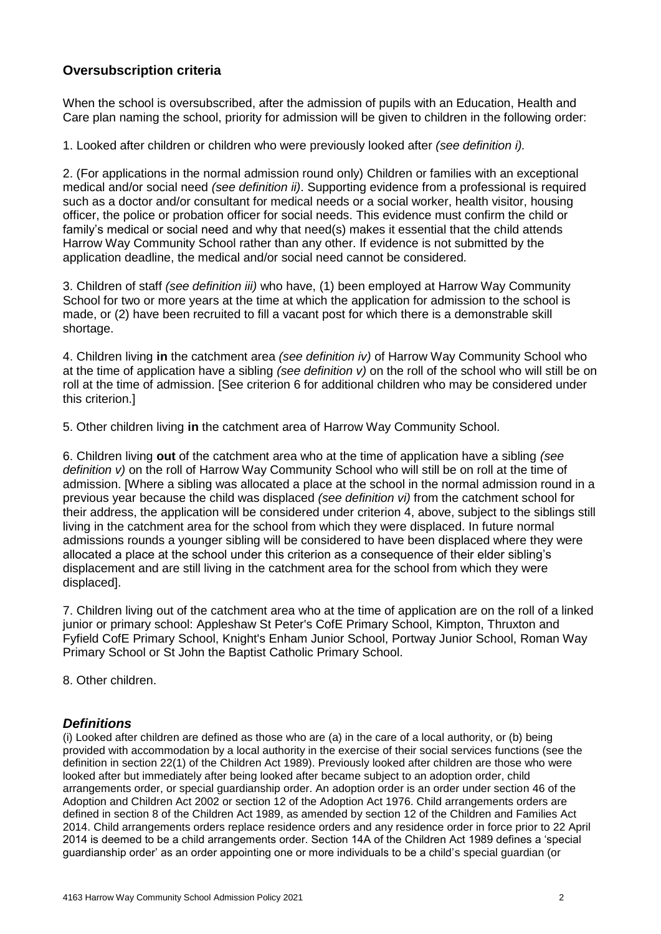# **Oversubscription criteria**

When the school is oversubscribed, after the admission of pupils with an Education, Health and Care plan naming the school, priority for admission will be given to children in the following order:

1. Looked after children or children who were previously looked after *(see definition i).* 

2. (For applications in the normal admission round only) Children or families with an exceptional medical and/or social need *(see definition ii)*. Supporting evidence from a professional is required such as a doctor and/or consultant for medical needs or a social worker, health visitor, housing officer, the police or probation officer for social needs. This evidence must confirm the child or family's medical or social need and why that need(s) makes it essential that the child attends Harrow Way Community School rather than any other. If evidence is not submitted by the application deadline, the medical and/or social need cannot be considered.

3. Children of staff *(see definition iii)* who have, (1) been employed at Harrow Way Community School for two or more years at the time at which the application for admission to the school is made, or (2) have been recruited to fill a vacant post for which there is a demonstrable skill shortage.

4. Children living **in** the catchment area *(see definition iv)* of Harrow Way Community School who at the time of application have a sibling *(see definition v)* on the roll of the school who will still be on roll at the time of admission. [See criterion 6 for additional children who may be considered under this criterion.]

5. Other children living **in** the catchment area of Harrow Way Community School.

6. Children living **out** of the catchment area who at the time of application have a sibling *(see definition v)* on the roll of Harrow Way Community School who will still be on roll at the time of admission. [Where a sibling was allocated a place at the school in the normal admission round in a previous year because the child was displaced *(see definition vi)* from the catchment school for their address, the application will be considered under criterion 4, above, subject to the siblings still living in the catchment area for the school from which they were displaced. In future normal admissions rounds a younger sibling will be considered to have been displaced where they were allocated a place at the school under this criterion as a consequence of their elder sibling's displacement and are still living in the catchment area for the school from which they were displaced].

7. Children living out of the catchment area who at the time of application are on the roll of a linked junior or primary school: Appleshaw St Peter's CofE Primary School, Kimpton, Thruxton and Fyfield CofE Primary School, Knight's Enham Junior School, Portway Junior School, Roman Way Primary School or St John the Baptist Catholic Primary School.

8. Other children.

#### *Definitions*

(i) Looked after children are defined as those who are (a) in the care of a local authority, or (b) being provided with accommodation by a local authority in the exercise of their social services functions (see the definition in section 22(1) of the Children Act 1989). Previously looked after children are those who were looked after but immediately after being looked after became subject to an adoption order, child arrangements order, or special guardianship order. An adoption order is an order under section 46 of the Adoption and Children Act 2002 or section 12 of the Adoption Act 1976. Child arrangements orders are defined in section 8 of the Children Act 1989, as amended by section 12 of the Children and Families Act 2014. Child arrangements orders replace residence orders and any residence order in force prior to 22 April 2014 is deemed to be a child arrangements order. Section 14A of the Children Act 1989 defines a 'special guardianship order' as an order appointing one or more individuals to be a child's special guardian (or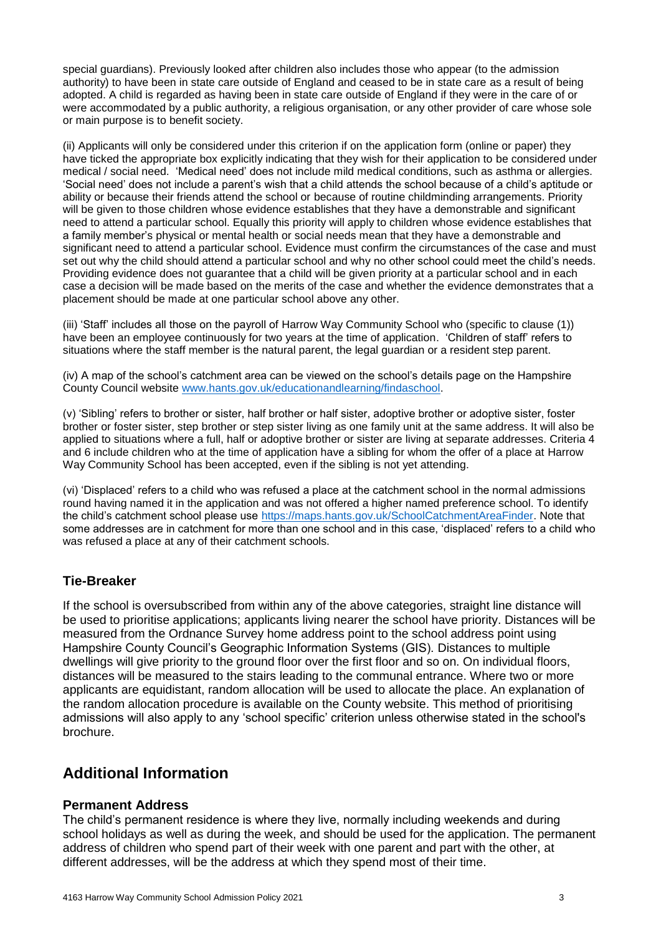special guardians). Previously looked after children also includes those who appear (to the admission authority) to have been in state care outside of England and ceased to be in state care as a result of being adopted. A child is regarded as having been in state care outside of England if they were in the care of or were accommodated by a public authority, a religious organisation, or any other provider of care whose sole or main purpose is to benefit society.

(ii) Applicants will only be considered under this criterion if on the application form (online or paper) they have ticked the appropriate box explicitly indicating that they wish for their application to be considered under medical / social need. 'Medical need' does not include mild medical conditions, such as asthma or allergies. 'Social need' does not include a parent's wish that a child attends the school because of a child's aptitude or ability or because their friends attend the school or because of routine childminding arrangements. Priority will be given to those children whose evidence establishes that they have a demonstrable and significant need to attend a particular school. Equally this priority will apply to children whose evidence establishes that a family member's physical or mental health or social needs mean that they have a demonstrable and significant need to attend a particular school. Evidence must confirm the circumstances of the case and must set out why the child should attend a particular school and why no other school could meet the child's needs. Providing evidence does not guarantee that a child will be given priority at a particular school and in each case a decision will be made based on the merits of the case and whether the evidence demonstrates that a placement should be made at one particular school above any other.

(iii) 'Staff' includes all those on the payroll of Harrow Way Community School who (specific to clause (1)) have been an employee continuously for two years at the time of application. 'Children of staff' refers to situations where the staff member is the natural parent, the legal guardian or a resident step parent.

(iv) A map of the school's catchment area can be viewed on the school's details page on the Hampshire County Council website [www.hants.gov.uk/educationandlearning/findaschool.](http://www.hants.gov.uk/educationandlearning/findaschool)

(v) 'Sibling' refers to brother or sister, half brother or half sister, adoptive brother or adoptive sister, foster brother or foster sister, step brother or step sister living as one family unit at the same address. It will also be applied to situations where a full, half or adoptive brother or sister are living at separate addresses. Criteria 4 and 6 include children who at the time of application have a sibling for whom the offer of a place at Harrow Way Community School has been accepted, even if the sibling is not yet attending.

(vi) 'Displaced' refers to a child who was refused a place at the catchment school in the normal admissions round having named it in the application and was not offered a higher named preference school. To identify the child's catchment school please use [https://maps.hants.gov.uk/SchoolCatchmentAreaFinder.](https://maps.hants.gov.uk/SchoolCatchmentAreaFinder/) Note that some addresses are in catchment for more than one school and in this case, 'displaced' refers to a child who was refused a place at any of their catchment schools.

# **Tie-Breaker**

If the school is oversubscribed from within any of the above categories, straight line distance will be used to prioritise applications; applicants living nearer the school have priority. Distances will be measured from the Ordnance Survey home address point to the school address point using Hampshire County Council's Geographic Information Systems (GIS). Distances to multiple dwellings will give priority to the ground floor over the first floor and so on. On individual floors, distances will be measured to the stairs leading to the communal entrance. Where two or more applicants are equidistant, random allocation will be used to allocate the place. An explanation of the random allocation procedure is available on the County website. This method of prioritising admissions will also apply to any 'school specific' criterion unless otherwise stated in the school's brochure.

# **Additional Information**

#### **Permanent Address**

The child's permanent residence is where they live, normally including weekends and during school holidays as well as during the week, and should be used for the application. The permanent address of children who spend part of their week with one parent and part with the other, at different addresses, will be the address at which they spend most of their time.